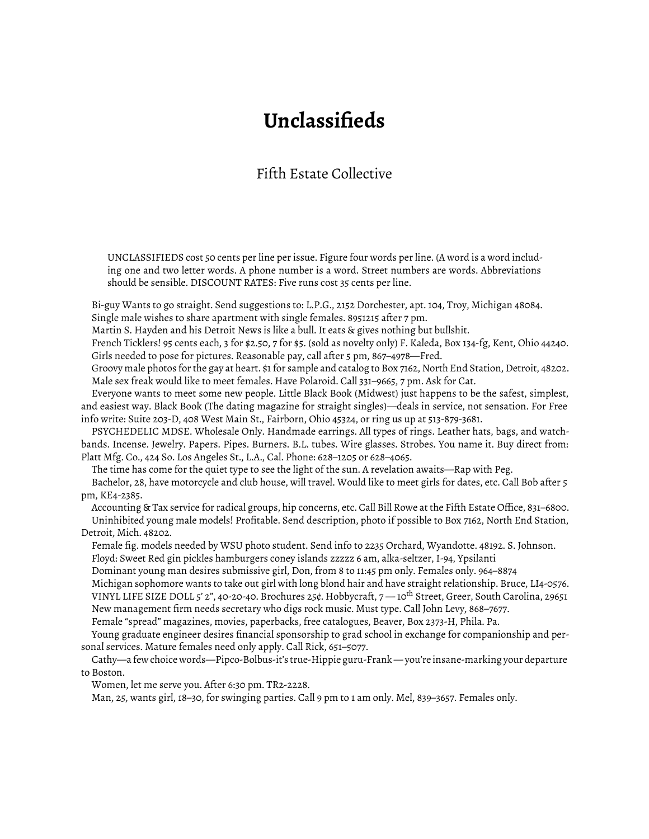## **Unclassifieds**

## Fifth Estate Collective

UNCLASSIFIEDS cost 50 cents per line per issue. Figure four words per line. (A word is a word including one and two letter words. A phone number is a word. Street numbers are words. Abbreviations should be sensible. DISCOUNT RATES: Five runs cost 35 cents per line.

Bi-guy Wants to go straight. Send suggestions to: L.P.G., 2152 Dorchester, apt. 104, Troy, Michigan 48084. Single male wishes to share apartment with single females. 8951215 after 7 pm.

Martin S. Hayden and his Detroit News is like a bull. It eats & gives nothing but bullshit.

French Ticklers! 95 cents each, 3 for \$2.50, 7 for \$5. (sold as novelty only) F. Kaleda, Box 134-fg, Kent, Ohio 44240. Girls needed to pose for pictures. Reasonable pay, call after 5 pm, 867–4978—Fred.

Groovy male photos for the gay at heart. \$1 for sample and catalog to Box 7162, North End Station, Detroit, 48202. Male sex freak would like to meet females. Have Polaroid. Call 331–9665, 7 pm. Ask for Cat.

Everyone wants to meet some new people. Little Black Book (Midwest) just happens to be the safest, simplest, and easiest way. Black Book (The dating magazine for straight singles)—deals in service, not sensation. For Free info write: Suite 203-D, 408 West Main St., Fairborn, Ohio 45324, or ring us up at 513-879-3681.

PSYCHEDELIC MDSE. Wholesale Only. Handmade earrings. All types of rings. Leather hats, bags, and watchbands. Incense. Jewelry. Papers. Pipes. Burners. B.L. tubes. Wire glasses. Strobes. You name it. Buy direct from: Platt Mfg. Co., 424 So. Los Angeles St., L.A., Cal. Phone: 628–1205 or 628–4065.

The time has come for the quiet type to see the light of the sun. A revelation awaits—Rap with Peg.

Bachelor, 28, have motorcycle and club house, will travel. Would like to meet girls for dates, etc. Call Bob after 5 pm, KE4-2385.

Accounting & Tax service for radical groups, hip concerns, etc. Call Bill Rowe at the Fifth Estate Office, 831–6800. Uninhibited young male models! Profitable. Send description, photo if possible to Box 7162, North End Station, Detroit, Mich. 48202.

Female fig. models needed by WSU photo student. Send info to 2235 Orchard, Wyandotte. 48192. S. Johnson. Floyd: Sweet Red gin pickles hamburgers coney islands zzzzz 6 am, alka-seltzer, I-94, Ypsilanti

Dominant young man desires submissive girl, Don, from 8 to 11:45 pm only. Females only. 964–8874

Michigan sophomore wants to take out girl with long blond hair and have straight relationship. Bruce, LI4-0576. VINYL LIFE SIZE DOLL 5' 2", 40-20-40. Brochures 25¢. Hobbycraft, 7 — 10th Street, Greer, South Carolina, 29651 New management firm needs secretary who digs rock music. Must type. Call John Levy, 868–7677.

Female "spread" magazines, movies, paperbacks, free catalogues, Beaver, Box 2373-H, Phila. Pa.

Young graduate engineer desires financial sponsorship to grad school in exchange for companionship and personal services. Mature females need only apply. Call Rick, 651–5077.

Cathy—a few choice words—Pipco-Bolbus-it's true-Hippie guru-Frank — you're insane-marking your departure to Boston.

Women, let me serve you. After 6:30 pm. TR2-2228.

Man, 25, wants girl, 18–30, for swinging parties. Call 9 pm to 1 am only. Mel, 839–3657. Females only.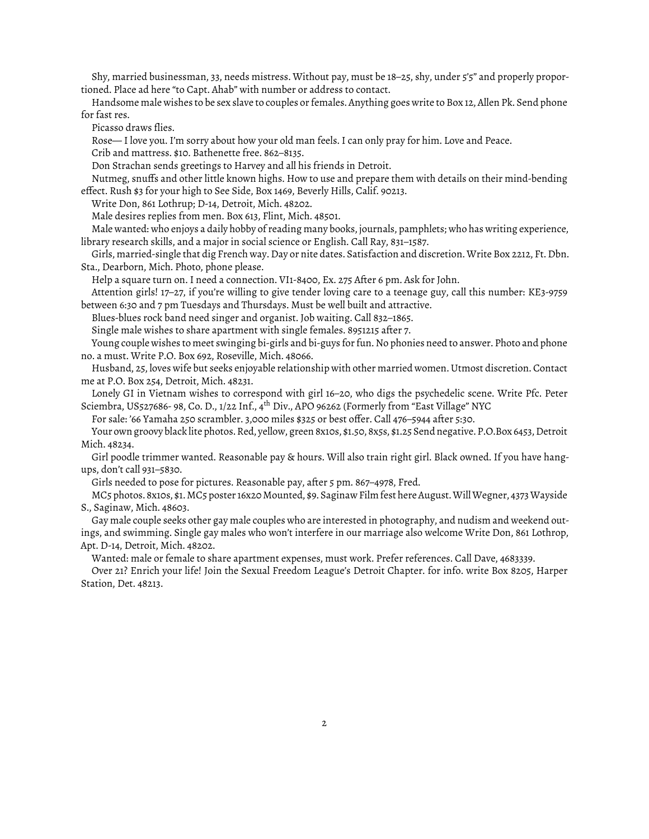Shy, married businessman, 33, needs mistress. Without pay, must be 18–25, shy, under 5'5" and properly proportioned. Place ad here "to Capt. Ahab" with number or address to contact.

Handsome male wishes to be sex slave to couples or females. Anything goes write to Box 12, Allen Pk. Send phone for fast res.

Picasso draws flies.

Rose— I love you. I'm sorry about how your old man feels. I can only pray for him. Love and Peace.

Crib and mattress. \$10. Bathenette free. 862–8135.

Don Strachan sends greetings to Harvey and all his friends in Detroit.

Nutmeg, snuffs and other little known highs. How to use and prepare them with details on their mind-bending effect. Rush \$3 for your high to See Side, Box 1469, Beverly Hills, Calif. 90213.

Write Don, 861 Lothrup; D-14, Detroit, Mich. 48202.

Male desires replies from men. Box 613, Flint, Mich. 48501.

Male wanted: who enjoys a daily hobby of reading many books, journals, pamphlets; who has writing experience, library research skills, and a major in social science or English. Call Ray, 831–1587.

Girls, married-single that dig French way. Day or nite dates. Satisfaction and discretion. Write Box 2212, Ft. Dbn. Sta., Dearborn, Mich. Photo, phone please.

Help a square turn on. I need a connection. VI1-8400, Ex. 275 After 6 pm. Ask for John.

Attention girls! 17–27, if you're willing to give tender loving care to a teenage guy, call this number: KE3-9759 between 6:30 and 7 pm Tuesdays and Thursdays. Must be well built and attractive.

Blues-blues rock band need singer and organist. Job waiting. Call 832–1865.

Single male wishes to share apartment with single females. 8951215 after 7.

Young couple wishes to meet swinging bi-girls and bi-guys for fun. No phonies need to answer. Photo and phone no. a must. Write P.O. Box 692, Roseville, Mich. 48066.

Husband, 25, loves wife but seeks enjoyable relationship with other married women. Utmost discretion. Contact me at P.O. Box 254, Detroit, Mich. 48231.

Lonely GI in Vietnam wishes to correspond with girl 16–20, who digs the psychedelic scene. Write Pfc. Peter Sciembra, US527686- 98, Co. D., 1/22 Inf., 4th Div., APO 96262 (Formerly from "East Village" NYC

For sale: '66 Yamaha 250 scrambler. 3,000 miles \$325 or best offer. Call 476–5944 after 5:30.

Your own groovy black lite photos. Red, yellow, green 8x10s, \$1.50, 8x5s, \$1.25 Send negative. P.O.Box 6453, Detroit Mich. 48234.

Girl poodle trimmer wanted. Reasonable pay & hours. Will also train right girl. Black owned. If you have hangups, don't call 931–5830.

Girls needed to pose for pictures. Reasonable pay, after 5 pm. 867–4978, Fred.

MC5 photos. 8x10s, \$1. MC5 poster 16x20 Mounted, \$9. Saginaw Film fest here August. Will Wegner, 4373 Wayside S., Saginaw, Mich. 48603.

Gay male couple seeks other gay male couples who are interested in photography, and nudism and weekend outings, and swimming. Single gay males who won't interfere in our marriage also welcome Write Don, 861 Lothrop, Apt. D-14, Detroit, Mich. 48202.

Wanted: male or female to share apartment expenses, must work. Prefer references. Call Dave, 4683339.

Over 21? Enrich your life! Join the Sexual Freedom League's Detroit Chapter. for info. write Box 8205, Harper Station, Det. 48213.